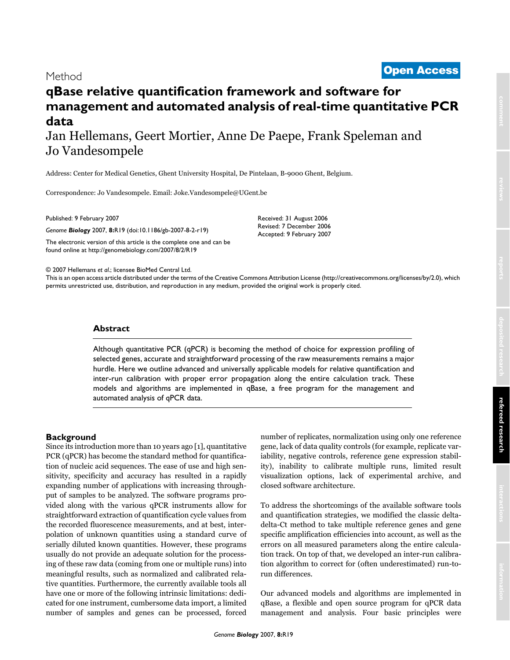# <sup>2007</sup> Hellemans et al. Volume 8, Issue 2, Article R19 **[Open Access](http://www.biomedcentral.com/info/about/charter/)** Method

# **qBase relative quantification framework and software for management and automated analysis of real-time quantitative PCR data**

Jan Hellemans, Geert Mortier, Anne De Paepe, Frank Speleman and Jo Vandesompele

Address: Center for Medical Genetics, Ghent University Hospital, De Pintelaan, B-9000 Ghent, Belgium.

Correspondence: Jo Vandesompele. Email: Joke.Vandesompele@UGent.be

Published: 9 February 2007

*Genome Biology* 2007, **8:**R19 (doi:10.1186/gb-2007-8-2-r19)

[The electronic version of this article is the complete one and can be](http://genomebiology.com/2007/8/2/R19)  found online at http://genomebiology.com/2007/8/2/R19

© 2007 Hellemans *et al*.; licensee BioMed Central Ltd.

Received: 31 August 2006 Revised: 7 December 2006

Accepted: 9 February 2007

[This is an open access article distributed under the terms of the Creative Commons Attribution License \(http://creativecommons.org/licenses/by/2.0\), which](http://creativecommons.org/licenses/by/2.0)  permits unrestricted use, distribution, and reproduction in any medium, provided the original work is properly cited.

# **Abstract**

Although quantitative PCR (qPCR) is becoming the method of choice for expression profiling of selected genes, accurate and straightforward processing of the raw measurements remains a major hurdle. Here we outline advanced and universally applicable models for relative quantification and inter-run calibration with proper error propagation along the entire calculation track. These models and algorithms are implemented in qBase, a free program for the management and automated analysis of qPCR data.

# **Background**

Since its introduction more than 10 years ago [1], quantitative PCR (qPCR) has become the standard method for quantification of nucleic acid sequences. The ease of use and high sensitivity, specificity and accuracy has resulted in a rapidly expanding number of applications with increasing throughput of samples to be analyzed. The software programs provided along with the various qPCR instruments allow for straightforward extraction of quantification cycle values from the recorded fluorescence measurements, and at best, interpolation of unknown quantities using a standard curve of serially diluted known quantities. However, these programs usually do not provide an adequate solution for the processing of these raw data (coming from one or multiple runs) into meaningful results, such as normalized and calibrated relative quantities. Furthermore, the currently available tools all have one or more of the following intrinsic limitations: dedicated for one instrument, cumbersome data import, a limited number of samples and genes can be processed, forced number of replicates, normalization using only one reference gene, lack of data quality controls (for example, replicate variability, negative controls, reference gene expression stability), inability to calibrate multiple runs, limited result visualization options, lack of experimental archive, and closed software architecture.

To address the shortcomings of the available software tools and quantification strategies, we modified the classic deltadelta-Ct method to take multiple reference genes and gene specific amplification efficiencies into account, as well as the errors on all measured parameters along the entire calculation track. On top of that, we developed an inter-run calibration algorithm to correct for (often underestimated) run-torun differences.

Our advanced models and algorithms are implemented in qBase, a flexible and open source program for qPCR data management and analysis. Four basic principles were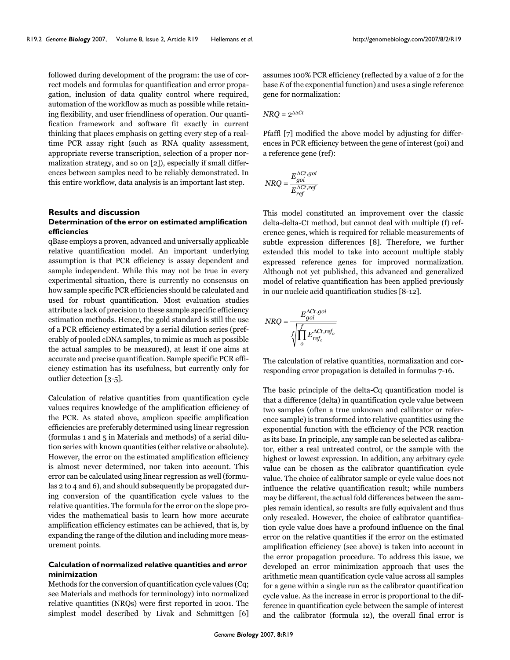followed during development of the program: the use of correct models and formulas for quantification and error propagation, inclusion of data quality control where required, automation of the workflow as much as possible while retaining flexibility, and user friendliness of operation. Our quantification framework and software fit exactly in current thinking that places emphasis on getting every step of a realtime PCR assay right (such as RNA quality assessment, appropriate reverse transcription, selection of a proper normalization strategy, and so on [2]), especially if small differences between samples need to be reliably demonstrated. In this entire workflow, data analysis is an important last step.

## **Results and discussion**

# **Determination of the error on estimated amplification efficiencies**

qBase employs a proven, advanced and universally applicable relative quantification model. An important underlying assumption is that PCR efficiency is assay dependent and sample independent. While this may not be true in every experimental situation, there is currently no consensus on how sample specific PCR efficiencies should be calculated and used for robust quantification. Most evaluation studies attribute a lack of precision to these sample specific efficiency estimation methods. Hence, the gold standard is still the use of a PCR efficiency estimated by a serial dilution series (preferably of pooled cDNA samples, to mimic as much as possible the actual samples to be measured), at least if one aims at accurate and precise quantification. Sample specific PCR efficiency estimation has its usefulness, but currently only for outlier detection [3-5].

Calculation of relative quantities from quantification cycle values requires knowledge of the amplification efficiency of the PCR. As stated above, amplicon specific amplification efficiencies are preferably determined using linear regression (formulas 1 and 5 in Materials and methods) of a serial dilution series with known quantities (either relative or absolute). However, the error on the estimated amplification efficiency is almost never determined, nor taken into account. This error can be calculated using linear regression as well (formulas 2 to 4 and 6), and should subsequently be propagated during conversion of the quantification cycle values to the relative quantities. The formula for the error on the slope provides the mathematical basis to learn how more accurate amplification efficiency estimates can be achieved, that is, by expanding the range of the dilution and including more measurement points.

## **Calculation of normalized relative quantities and error minimization**

Methods for the conversion of quantification cycle values (Cq; see Materials and methods for terminology) into normalized relative quantities (NRQs) were first reported in 2001. The simplest model described by Livak and Schmittgen [6]

assumes 100% PCR efficiency (reflected by a value of 2 for the base *E* of the exponential function) and uses a single reference gene for normalization:

*NRQ* = 2ΔΔ*Ct*

Pfaffl [7] modified the above model by adjusting for differences in PCR efficiency between the gene of interest (goi) and a reference gene (ref):

$$
NRQ = \frac{E_{goi}^{\Delta Ct, goi}}{E_{ref}^{\Delta Ct, ref}}
$$

This model constituted an improvement over the classic delta-delta-Ct method, but cannot deal with multiple (f) reference genes, which is required for reliable measurements of subtle expression differences [8]. Therefore, we further extended this model to take into account multiple stably expressed reference genes for improved normalization. Although not yet published, this advanced and generalized model of relative quantification has been applied previously in our nucleic acid quantification studies [8-12].

$$
N R Q = \frac{E_{goi}^{\Delta Ct, goi}}{\int \sqrt{\prod_{o}^{f} E_{ref_o}^{\Delta Ct, ref_o}}}
$$

The calculation of relative quantities, normalization and corresponding error propagation is detailed in formulas 7-16.

The basic principle of the delta-Cq quantification model is that a difference (delta) in quantification cycle value between two samples (often a true unknown and calibrator or reference sample) is transformed into relative quantities using the exponential function with the efficiency of the PCR reaction as its base. In principle, any sample can be selected as calibrator, either a real untreated control, or the sample with the highest or lowest expression. In addition, any arbitrary cycle value can be chosen as the calibrator quantification cycle value. The choice of calibrator sample or cycle value does not influence the relative quantification result; while numbers may be different, the actual fold differences between the samples remain identical, so results are fully equivalent and thus only rescaled. However, the choice of calibrator quantification cycle value does have a profound influence on the final error on the relative quantities if the error on the estimated amplification efficiency (see above) is taken into account in the error propagation procedure. To address this issue, we developed an error minimization approach that uses the arithmetic mean quantification cycle value across all samples for a gene within a single run as the calibrator quantification cycle value. As the increase in error is proportional to the difference in quantification cycle between the sample of interest and the calibrator (formula 12), the overall final error is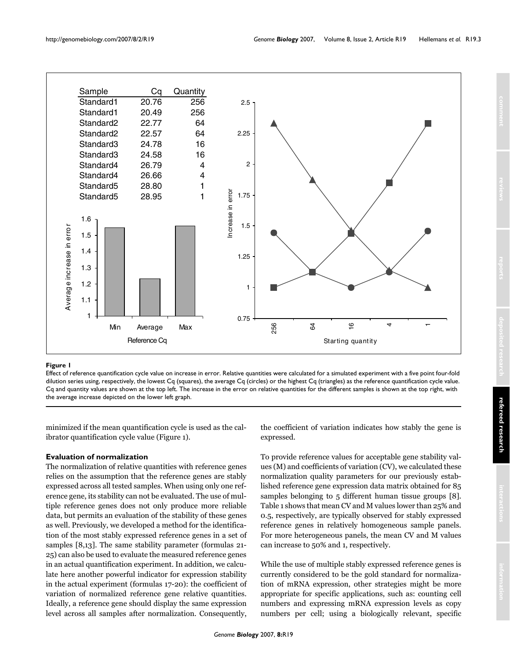

#### **Figure 1**

Effect of reference quantification cycle value on increase in error. Relative quantities were calculated for a simulated experiment with a five point four-fold dilution series using, respectively, the lowest Cq (squares), the average Cq (circles) or the highest Cq (triangles) as the reference quantification cycle value. Cq and quantity values are shown at the top left. The increase in the error on relative quantities for the different samples is shown at the top right, with the average increase depicted on the lower left graph.

minimized if the mean quantification cycle is used as the calibrator quantification cycle value (Figure 1).

## **Evaluation of normalization**

The normalization of relative quantities with reference genes relies on the assumption that the reference genes are stably expressed across all tested samples. When using only one reference gene, its stability can not be evaluated. The use of multiple reference genes does not only produce more reliable data, but permits an evaluation of the stability of these genes as well. Previously, we developed a method for the identification of the most stably expressed reference genes in a set of samples [8,13]. The same stability parameter (formulas 21- 25) can also be used to evaluate the measured reference genes in an actual quantification experiment. In addition, we calculate here another powerful indicator for expression stability in the actual experiment (formulas 17-20): the coefficient of variation of normalized reference gene relative quantities. Ideally, a reference gene should display the same expression level across all samples after normalization. Consequently,

the coefficient of variation indicates how stably the gene is expressed.

To provide reference values for acceptable gene stability values (M) and coefficients of variation (CV), we calculated these normalization quality parameters for our previously established reference gene expression data matrix obtained for 85 samples belonging to 5 different human tissue groups [8]. Table [1](#page-3-0) shows that mean CV and M values lower than 25% and 0.5, respectively, are typically observed for stably expressed reference genes in relatively homogeneous sample panels. For more heterogeneous panels, the mean CV and M values can increase to 50% and 1, respectively.

While the use of multiple stably expressed reference genes is currently considered to be the gold standard for normalization of mRNA expression, other strategies might be more appropriate for specific applications, such as: counting cell numbers and expressing mRNA expression levels as copy numbers per cell; using a biologically relevant, specific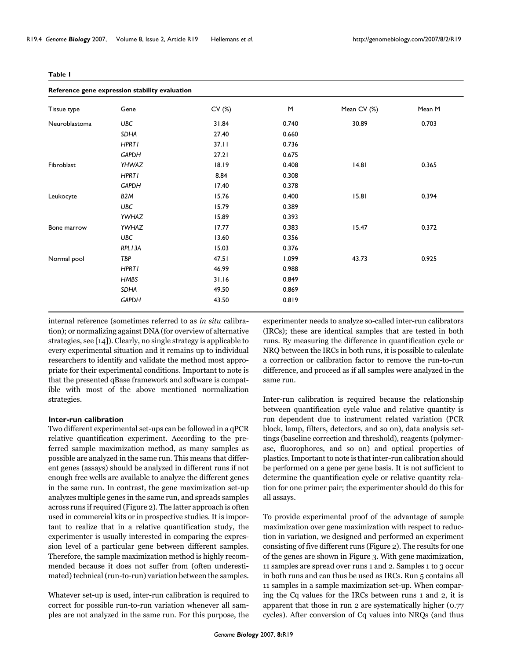<span id="page-3-0"></span>

| .<br>$\sim$ |  |
|-------------|--|
|-------------|--|

#### **Reference gene expression stability evaluation**

| Tissue type   | Gene             | CV (%) | M     | Mean CV (%) | Mean M |
|---------------|------------------|--------|-------|-------------|--------|
| Neuroblastoma | UBC              | 31.84  | 0.740 | 30.89       | 0.703  |
|               | <b>SDHA</b>      | 27.40  | 0.660 |             |        |
|               | <b>HPRT1</b>     | 37.11  | 0.736 |             |        |
|               | <b>GAPDH</b>     | 27.21  | 0.675 |             |        |
| Fibroblast    | YHWAZ            | 18.19  | 0.408 | 14.81       | 0.365  |
|               | <b>HPRT1</b>     | 8.84   | 0.308 |             |        |
|               | <b>GAPDH</b>     | 17.40  | 0.378 |             |        |
| Leukocyte     | B <sub>2</sub> M | 15.76  | 0.400 | 15.81       | 0.394  |
|               | UBC              | 15.79  | 0.389 |             |        |
|               | YWHAZ            | 15.89  | 0.393 |             |        |
| Bone marrow   | YWHAZ            | 17.77  | 0.383 | 15.47       | 0.372  |
|               | UBC              | 13.60  | 0.356 |             |        |
|               | RPL13A           | 15.03  | 0.376 |             |        |
| Normal pool   | TBP              | 47.51  | 1.099 | 43.73       | 0.925  |
|               | <b>HPRT1</b>     | 46.99  | 0.988 |             |        |
|               | <b>HMBS</b>      | 31.16  | 0.849 |             |        |
|               | <b>SDHA</b>      | 49.50  | 0.869 |             |        |
|               | <b>GAPDH</b>     | 43.50  | 0.819 |             |        |

internal reference (sometimes referred to as *in situ* calibration); or normalizing against DNA (for overview of alternative strategies, see [14]). Clearly, no single strategy is applicable to every experimental situation and it remains up to individual researchers to identify and validate the method most appropriate for their experimental conditions. Important to note is that the presented qBase framework and software is compatible with most of the above mentioned normalization strategies.

#### **Inter-run calibration**

Two different experimental set-ups can be followed in a qPCR relative quantification experiment. According to the preferred sample maximization method, as many samples as possible are analyzed in the same run. This means that different genes (assays) should be analyzed in different runs if not enough free wells are available to analyze the different genes in the same run. In contrast, the gene maximization set-up analyzes multiple genes in the same run, and spreads samples across runs if required (Figure [2\)](#page-4-0). The latter approach is often used in commercial kits or in prospective studies. It is important to realize that in a relative quantification study, the experimenter is usually interested in comparing the expression level of a particular gene between different samples. Therefore, the sample maximization method is highly recommended because it does not suffer from (often underestimated) technical (run-to-run) variation between the samples.

Whatever set-up is used, inter-run calibration is required to correct for possible run-to-run variation whenever all samples are not analyzed in the same run. For this purpose, the

experimenter needs to analyze so-called inter-run calibrators (IRCs); these are identical samples that are tested in both runs. By measuring the difference in quantification cycle or NRQ between the IRCs in both runs, it is possible to calculate a correction or calibration factor to remove the run-to-run difference, and proceed as if all samples were analyzed in the same run.

Inter-run calibration is required because the relationship between quantification cycle value and relative quantity is run dependent due to instrument related variation (PCR block, lamp, filters, detectors, and so on), data analysis settings (baseline correction and threshold), reagents (polymerase, fluorophores, and so on) and optical properties of plastics. Important to note is that inter-run calibration should be performed on a gene per gene basis. It is not sufficient to determine the quantification cycle or relative quantity relation for one primer pair; the experimenter should do this for all assays.

To provide experimental proof of the advantage of sample maximization over gene maximization with respect to reduction in variation, we designed and performed an experiment consisting of five different runs (Figure [2\)](#page-4-0). The results for one of the genes are shown in Figure 3. With gene maximization, 11 samples are spread over runs 1 and 2. Samples 1 to 3 occur in both runs and can thus be used as IRCs. Run 5 contains all 11 samples in a sample maximization set-up. When comparing the Cq values for the IRCs between runs 1 and 2, it is apparent that those in run 2 are systematically higher (0.77 cycles). After conversion of Cq values into NRQs (and thus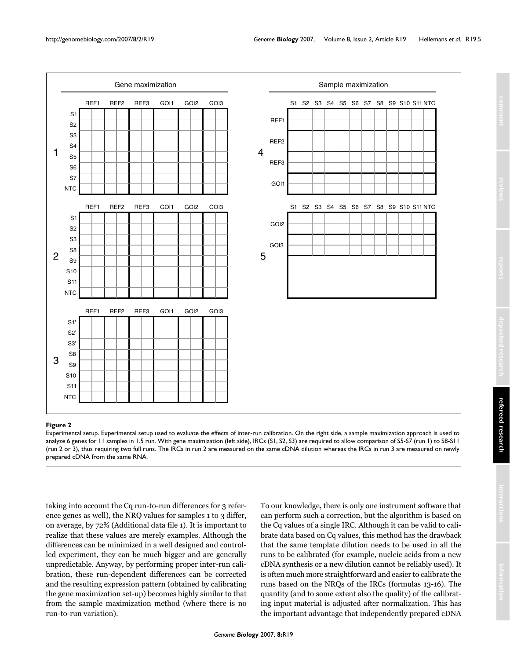<span id="page-4-0"></span>

#### **Figure 2**

Experimental setup. Experimental setup used to evaluate the effects of inter-run calibration. On the right side, a sample maximization approach is used to analyze 6 genes for 11 samples in 1.5 run. With gene maximization (left side), IRCs (S1, S2, S3) are required to allow comparison of S5-S7 (run 1) to S8-S11 (run 2 or 3), thus requiring two full runs. The IRCs in run 2 are measured on the same cDNA dilution whereas the IRCs in run 3 are measured on newly prepared cDNA from the same RNA.

taking into account the Cq run-to-run differences for 3 reference genes as well), the NRQ values for samples 1 to 3 differ, on average, by 72% (Additional data file 1). It is important to realize that these values are merely examples. Although the differences can be minimized in a well designed and controlled experiment, they can be much bigger and are generally unpredictable. Anyway, by performing proper inter-run calibration, these run-dependent differences can be corrected and the resulting expression pattern (obtained by calibrating the gene maximization set-up) becomes highly similar to that from the sample maximization method (where there is no run-to-run variation).

To our knowledge, there is only one instrument software that can perform such a correction, but the algorithm is based on the Cq values of a single IRC. Although it can be valid to calibrate data based on Cq values, this method has the drawback that the same template dilution needs to be used in all the runs to be calibrated (for example, nucleic acids from a new cDNA synthesis or a new dilution cannot be reliably used). It is often much more straightforward and easier to calibrate the runs based on the NRQs of the IRCs (formulas 13-16). The quantity (and to some extent also the quality) of the calibrating input material is adjusted after normalization. This has the important advantage that independently prepared cDNA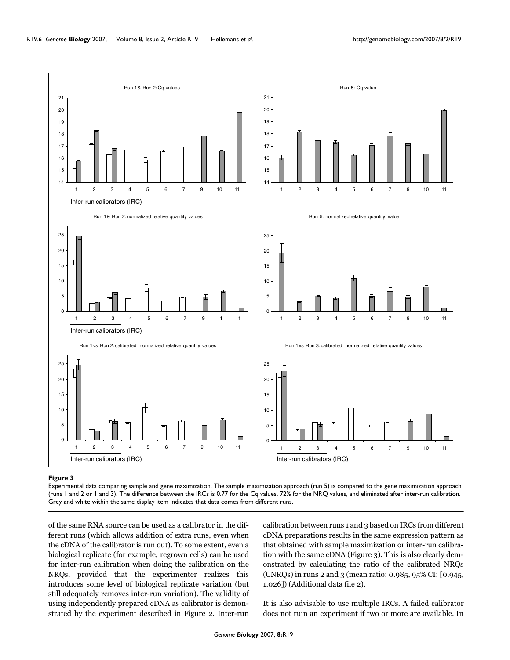

#### Figure 3

Experimental data comparing sample and gene maximization. The sample maximization approach (run 5) is compared to the gene maximization approach (runs 1 and 2 or 1 and 3). The difference between the IRCs is 0.77 for the Cq values, 72% for the NRQ values, and eliminated after inter-run calibration. Grey and white within the same display item indicates that data comes from different runs.

of the same RNA source can be used as a calibrator in the different runs (which allows addition of extra runs, even when the cDNA of the calibrator is run out). To some extent, even a biological replicate (for example, regrown cells) can be used for inter-run calibration when doing the calibration on the NRQs, provided that the experimenter realizes this introduces some level of biological replicate variation (but still adequately removes inter-run variation). The validity of using independently prepared cDNA as calibrator is demonstrated by the experiment described in Figure [2](#page-4-0). Inter-run

calibration between runs 1 and 3 based on IRCs from different cDNA preparations results in the same expression pattern as that obtained with sample maximization or inter-run calibration with the same cDNA (Figure 3). This is also clearly demonstrated by calculating the ratio of the calibrated NRQs (CNRQs) in runs 2 and 3 (mean ratio: 0.985, 95% CI: [0.945, 1.026]) (Additional data file 2).

It is also advisable to use multiple IRCs. A failed calibrator does not ruin an experiment if two or more are available. In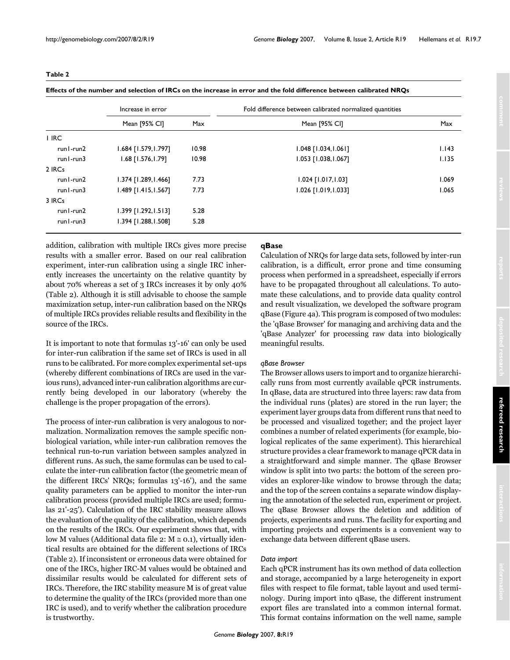<span id="page-6-0"></span>

| Increase in error      |       | Fold difference between calibrated normalized quantities |       |
|------------------------|-------|----------------------------------------------------------|-------|
| Mean [95% CI]          | Max   | Mean [95% CI]                                            | Max   |
|                        |       |                                                          |       |
| 1.684 [1.579, 1.797]   | 10.98 | $1.048$ [1.034, 1.061]                                   | 1.143 |
| $1.68$ [1.576, 1.79]   | 10.98 | 1.053 [1.038, 1.067]                                     | 1.135 |
|                        |       |                                                          |       |
| 1.374 [1.289, 1.466]   | 7.73  | 1.024 [1.017,1.03]                                       | 1.069 |
| 1.489 [1.415, 1.567]   | 7.73  | 1.026 [1.019, 1.033]                                     | 1.065 |
|                        |       |                                                          |       |
| $1.399$ [1.292, 1.513] | 5.28  |                                                          |       |
| 1.394 [1.288,1.508]    | 5.28  |                                                          |       |
|                        |       |                                                          |       |

**Effects of the number and selection of IRCs on the increase in error and the fold difference between calibrated NRQs**

addition, calibration with multiple IRCs gives more precise results with a smaller error. Based on our real calibration experiment, inter-run calibration using a single IRC inherently increases the uncertainty on the relative quantity by about 70% whereas a set of 3 IRCs increases it by only 40% (Table [2](#page-6-0)). Although it is still advisable to choose the sample maximization setup, inter-run calibration based on the NRQs of multiple IRCs provides reliable results and flexibility in the source of the IRCs.

It is important to note that formulas 13'-16' can only be used for inter-run calibration if the same set of IRCs is used in all runs to be calibrated. For more complex experimental set-ups (whereby different combinations of IRCs are used in the various runs), advanced inter-run calibration algorithms are currently being developed in our laboratory (whereby the challenge is the proper propagation of the errors).

The process of inter-run calibration is very analogous to normalization. Normalization removes the sample specific nonbiological variation, while inter-run calibration removes the technical run-to-run variation between samples analyzed in different runs. As such, the same formulas can be used to calculate the inter-run calibration factor (the geometric mean of the different IRCs' NRQs; formulas 13'-16'), and the same quality parameters can be applied to monitor the inter-run calibration process (provided multiple IRCs are used; formulas 21'-25'). Calculation of the IRC stability measure allows the evaluation of the quality of the calibration, which depends on the results of the IRCs. Our experiment shows that, with low M values (Additional data file 2:  $M \approx 0.1$ ), virtually identical results are obtained for the different selections of IRCs (Table [2\)](#page-6-0). If inconsistent or erroneous data were obtained for one of the IRCs, higher IRC-M values would be obtained and dissimilar results would be calculated for different sets of IRCs. Therefore, the IRC stability measure M is of great value to determine the quality of the IRCs (provided more than one IRC is used), and to verify whether the calibration procedure is trustworthy.

## **qBase**

Calculation of NRQs for large data sets, followed by inter-run calibration, is a difficult, error prone and time consuming process when performed in a spreadsheet, especially if errors have to be propagated throughout all calculations. To automate these calculations, and to provide data quality control and result visualization, we developed the software program qBase (Figure [4](#page-7-0)a). This program is composed of two modules: the 'qBase Browser' for managing and archiving data and the 'qBase Analyzer' for processing raw data into biologically meaningful results.

#### *qBase Browser*

The Browser allows users to import and to organize hierarchically runs from most currently available qPCR instruments. In qBase, data are structured into three layers: raw data from the individual runs (plates) are stored in the run layer; the experiment layer groups data from different runs that need to be processed and visualized together; and the project layer combines a number of related experiments (for example, biological replicates of the same experiment). This hierarchical structure provides a clear framework to manage qPCR data in a straightforward and simple manner. The qBase Browser window is split into two parts: the bottom of the screen provides an explorer-like window to browse through the data; and the top of the screen contains a separate window displaying the annotation of the selected run, experiment or project. The qBase Browser allows the deletion and addition of projects, experiments and runs. The facility for exporting and importing projects and experiments is a convenient way to exchange data between different qBase users.

#### *Data import*

Each qPCR instrument has its own method of data collection and storage, accompanied by a large heterogeneity in export files with respect to file format, table layout and used terminology. During import into qBase, the different instrument export files are translated into a common internal format. This format contains information on the well name, sample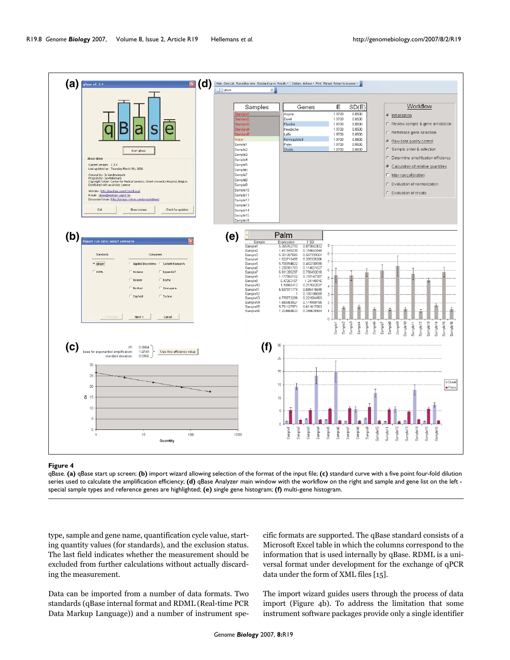<span id="page-7-0"></span>

**Figure 4** 

qBase. **(a)** qBase start up screen; **(b)** import wizard allowing selection of the format of the input file; **(c)** standard curve with a five point four-fold dilution series used to calculate the amplification efficiency; (d) qBase Analyzer main window with the workflow on the right and sample and gene list on the left special sample types and reference genes are highlighted; **(e)** single gene histogram; **(f)** multi-gene histogram.

type, sample and gene name, quantification cycle value, starting quantity values (for standards), and the exclusion status. The last field indicates whether the measurement should be excluded from further calculations without actually discarding the measurement.

Data can be imported from a number of data formats. Two standards (qBase internal format and RDML (Real-time PCR Data Markup Language)) and a number of instrument specific formats are supported. The qBase standard consists of a Microsoft Excel table in which the columns correspond to the information that is used internally by qBase. RDML is a universal format under development for the exchange of qPCR data under the form of XML files [15].

The import wizard guides users through the process of data import (Figure [4](#page-7-0)b). To address the limitation that some instrument software packages provide only a single identifier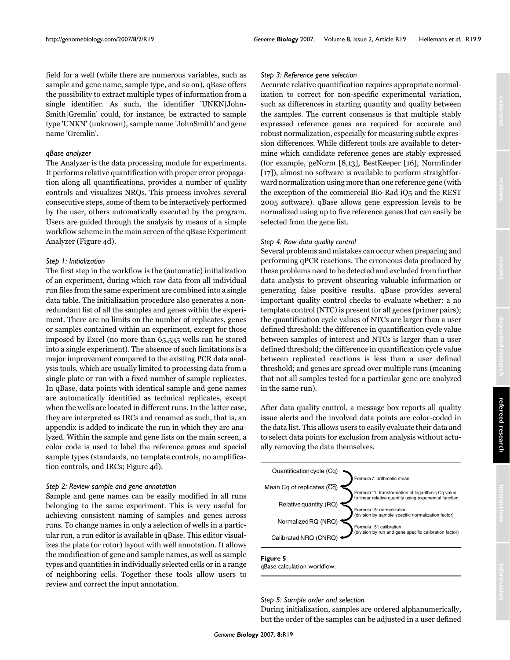field for a well (while there are numerous variables, such as sample and gene name, sample type, and so on), qBase offers the possibility to extract multiple types of information from a single identifier. As such, the identifier 'UNKN|John-Smith|Gremlin' could, for instance, be extracted to sample type 'UNKN' (unknown), sample name 'JohnSmith' and gene name 'Gremlin'.

#### *qBase analyzer*

The Analyzer is the data processing module for experiments. It performs relative quantification with proper error propagation along all quantifications, provides a number of quality controls and visualizes NRQs. This process involves several consecutive steps, some of them to be interactively performed by the user, others automatically executed by the program. Users are guided through the analysis by means of a simple workflow scheme in the main screen of the qBase Experiment Analyzer (Figure [4d](#page-7-0)).

#### *Step 1: Initialization*

The first step in the workflow is the (automatic) initialization of an experiment, during which raw data from all individual run files from the same experiment are combined into a single data table. The initialization procedure also generates a nonredundant list of all the samples and genes within the experiment. There are no limits on the number of replicates, genes or samples contained within an experiment, except for those imposed by Excel (no more than 65,535 wells can be stored into a single experiment). The absence of such limitations is a major improvement compared to the existing PCR data analysis tools, which are usually limited to processing data from a single plate or run with a fixed number of sample replicates. In qBase, data points with identical sample and gene names are automatically identified as technical replicates, except when the wells are located in different runs. In the latter case, they are interpreted as IRCs and renamed as such, that is, an appendix is added to indicate the run in which they are analyzed. Within the sample and gene lists on the main screen, a color code is used to label the reference genes and special sample types (standards, no template controls, no amplification controls, and IRCs; Figure [4d](#page-7-0)).

## *Step 2: Review sample and gene annotation*

Sample and gene names can be easily modified in all runs belonging to the same experiment. This is very useful for achieving consistent naming of samples and genes across runs. To change names in only a selection of wells in a particular run, a run editor is available in qBase. This editor visualizes the plate (or rotor) layout with well annotation. It allows the modification of gene and sample names, as well as sample types and quantities in individually selected cells or in a range of neighboring cells. Together these tools allow users to review and correct the input annotation.

#### *Step 3: Reference gene selection*

Accurate relative quantification requires appropriate normalization to correct for non-specific experimental variation, such as differences in starting quantity and quality between the samples. The current consensus is that multiple stably expressed reference genes are required for accurate and robust normalization, especially for measuring subtle expression differences. While different tools are available to determine which candidate reference genes are stably expressed (for example, geNorm [8,13], BestKeeper [16], Normfinder [17]), almost no software is available to perform straightforward normalization using more than one reference gene (with the exception of the commercial Bio-Rad iQ5 and the REST 2005 software). qBase allows gene expression levels to be normalized using up to five reference genes that can easily be selected from the gene list.

# *Step 4: Raw data quality control*

Several problems and mistakes can occur when preparing and performing qPCR reactions. The erroneous data produced by these problems need to be detected and excluded from further data analysis to prevent obscuring valuable information or generating false positive results. qBase provides several important quality control checks to evaluate whether: a no template control (NTC) is present for all genes (primer pairs); the quantification cycle values of NTCs are larger than a user defined threshold; the difference in quantification cycle value between samples of interest and NTCs is larger than a user defined threshold; the difference in quantification cycle value between replicated reactions is less than a user defined threshold; and genes are spread over multiple runs (meaning that not all samples tested for a particular gene are analyzed in the same run).

After data quality control, a message box reports all quality issue alerts and the involved data points are color-coded in the data list. This allows users to easily evaluate their data and to select data points for exclusion from analysis without actually removing the data themselves.



**Figure 5** qBase calculation workflow.

## *Step 5: Sample order and selection*

During initialization, samples are ordered alphanumerically, but the order of the samples can be adjusted in a user defined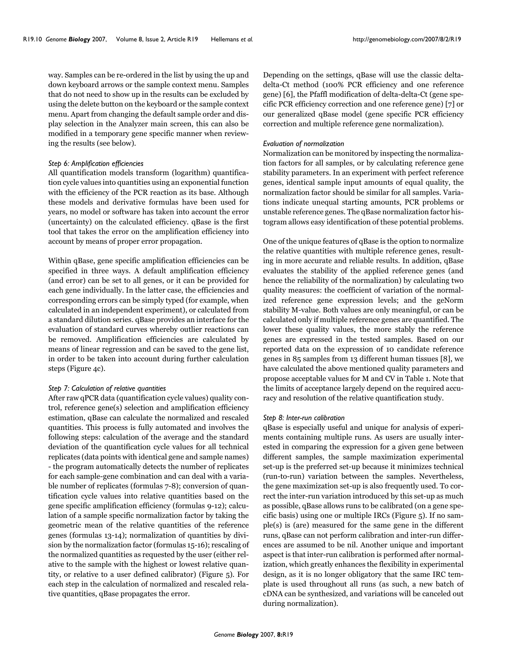way. Samples can be re-ordered in the list by using the up and down keyboard arrows or the sample context menu. Samples that do not need to show up in the results can be excluded by using the delete button on the keyboard or the sample context menu. Apart from changing the default sample order and display selection in the Analyzer main screen, this can also be modified in a temporary gene specific manner when reviewing the results (see below).

#### *Step 6: Amplification efficiencies*

All quantification models transform (logarithm) quantification cycle values into quantities using an exponential function with the efficiency of the PCR reaction as its base. Although these models and derivative formulas have been used for years, no model or software has taken into account the error (uncertainty) on the calculated efficiency. qBase is the first tool that takes the error on the amplification efficiency into account by means of proper error propagation.

Within qBase, gene specific amplification efficiencies can be specified in three ways. A default amplification efficiency (and error) can be set to all genes, or it can be provided for each gene individually. In the latter case, the efficiencies and corresponding errors can be simply typed (for example, when calculated in an independent experiment), or calculated from a standard dilution series. qBase provides an interface for the evaluation of standard curves whereby outlier reactions can be removed. Amplification efficiencies are calculated by means of linear regression and can be saved to the gene list, in order to be taken into account during further calculation steps (Figure [4c](#page-7-0)).

## *Step 7: Calculation of relative quantities*

After raw qPCR data (quantification cycle values) quality control, reference gene(s) selection and amplification efficiency estimation, qBase can calculate the normalized and rescaled quantities. This process is fully automated and involves the following steps: calculation of the average and the standard deviation of the quantification cycle values for all technical replicates (data points with identical gene and sample names) - the program automatically detects the number of replicates for each sample-gene combination and can deal with a variable number of replicates (formulas 7-8); conversion of quantification cycle values into relative quantities based on the gene specific amplification efficiency (formulas 9-12); calculation of a sample specific normalization factor by taking the geometric mean of the relative quantities of the reference genes (formulas 13-14); normalization of quantities by division by the normalization factor (formulas 15-16); rescaling of the normalized quantities as requested by the user (either relative to the sample with the highest or lowest relative quantity, or relative to a user defined calibrator) (Figure 5). For each step in the calculation of normalized and rescaled relative quantities, qBase propagates the error.

Depending on the settings, qBase will use the classic deltadelta-Ct method (100% PCR efficiency and one reference gene) [6], the Pfaffl modification of delta-delta-Ct (gene specific PCR efficiency correction and one reference gene) [7] or our generalized qBase model (gene specific PCR efficiency correction and multiple reference gene normalization).

#### *Evaluation of normalization*

Normalization can be monitored by inspecting the normalization factors for all samples, or by calculating reference gene stability parameters. In an experiment with perfect reference genes, identical sample input amounts of equal quality, the normalization factor should be similar for all samples. Variations indicate unequal starting amounts, PCR problems or unstable reference genes. The qBase normalization factor histogram allows easy identification of these potential problems.

One of the unique features of qBase is the option to normalize the relative quantities with multiple reference genes, resulting in more accurate and reliable results. In addition, qBase evaluates the stability of the applied reference genes (and hence the reliability of the normalization) by calculating two quality measures: the coefficient of variation of the normalized reference gene expression levels; and the geNorm stability M-value. Both values are only meaningful, or can be calculated only if multiple reference genes are quantified. The lower these quality values, the more stably the reference genes are expressed in the tested samples. Based on our reported data on the expression of 10 candidate reference genes in 85 samples from 13 different human tissues [8], we have calculated the above mentioned quality parameters and propose acceptable values for M and CV in Table [1.](#page-3-0) Note that the limits of acceptance largely depend on the required accuracy and resolution of the relative quantification study.

#### *Step 8: Inter-run calibration*

qBase is especially useful and unique for analysis of experiments containing multiple runs. As users are usually interested in comparing the expression for a given gene between different samples, the sample maximization experimental set-up is the preferred set-up because it minimizes technical (run-to-run) variation between the samples. Nevertheless, the gene maximization set-up is also frequently used. To correct the inter-run variation introduced by this set-up as much as possible, qBase allows runs to be calibrated (on a gene specific basis) using one or multiple IRCs (Figure 5). If no sample(s) is (are) measured for the same gene in the different runs, qBase can not perform calibration and inter-run differences are assumed to be nil. Another unique and important aspect is that inter-run calibration is performed after normalization, which greatly enhances the flexibility in experimental design, as it is no longer obligatory that the same IRC template is used throughout all runs (as such, a new batch of cDNA can be synthesized, and variations will be canceled out during normalization).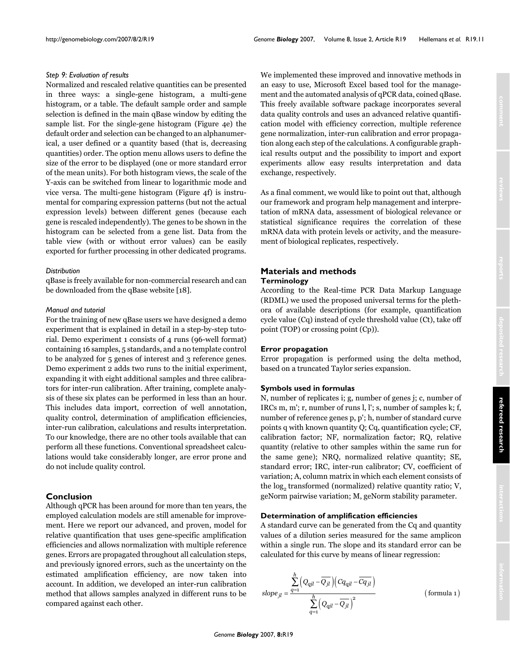# *Step 9: Evaluation of results*

Normalized and rescaled relative quantities can be presented in three ways: a single-gene histogram, a multi-gene histogram, or a table. The default sample order and sample selection is defined in the main qBase window by editing the sample list. For the single-gene histogram (Figure [4e](#page-7-0)) the default order and selection can be changed to an alphanumerical, a user defined or a quantity based (that is, decreasing quantities) order. The option menu allows users to define the size of the error to be displayed (one or more standard error of the mean units). For both histogram views, the scale of the Y-axis can be switched from linear to logarithmic mode and vice versa. The multi-gene histogram (Figure [4f](#page-7-0)) is instrumental for comparing expression patterns (but not the actual expression levels) between different genes (because each gene is rescaled independently). The genes to be shown in the histogram can be selected from a gene list. Data from the table view (with or without error values) can be easily exported for further processing in other dedicated programs.

# *Distribution*

qBase is freely available for non-commercial research and can be downloaded from the qBase website [18].

# *Manual and tutorial*

For the training of new qBase users we have designed a demo experiment that is explained in detail in a step-by-step tutorial. Demo experiment 1 consists of 4 runs (96-well format) containing 16 samples, 5 standards, and a no template control to be analyzed for 5 genes of interest and 3 reference genes. Demo experiment 2 adds two runs to the initial experiment, expanding it with eight additional samples and three calibrators for inter-run calibration. After training, complete analysis of these six plates can be performed in less than an hour. This includes data import, correction of well annotation, quality control, determination of amplification efficiencies, inter-run calibration, calculations and results interpretation. To our knowledge, there are no other tools available that can perform all these functions. Conventional spreadsheet calculations would take considerably longer, are error prone and do not include quality control.

# **Conclusion**

Although qPCR has been around for more than ten years, the employed calculation models are still amenable for improvement. Here we report our advanced, and proven, model for relative quantification that uses gene-specific amplification efficiencies and allows normalization with multiple reference genes. Errors are propagated throughout all calculation steps, and previously ignored errors, such as the uncertainty on the estimated amplification efficiency, are now taken into account. In addition, we developed an inter-run calibration method that allows samples analyzed in different runs to be compared against each other.

We implemented these improved and innovative methods in an easy to use, Microsoft Excel based tool for the management and the automated analysis of qPCR data, coined qBase. This freely available software package incorporates several data quality controls and uses an advanced relative quantification model with efficiency correction, multiple reference gene normalization, inter-run calibration and error propagation along each step of the calculations. A configurable graphical results output and the possibility to import and export experiments allow easy results interpretation and data exchange, respectively.

As a final comment, we would like to point out that, although our framework and program help management and interpretation of mRNA data, assessment of biological relevance or statistical significance requires the correlation of these mRNA data with protein levels or activity, and the measurement of biological replicates, respectively.

# **Materials and methods**

# **Terminology**

According to the Real-time PCR Data Markup Language (RDML) we used the proposed universal terms for the plethora of available descriptions (for example, quantification cycle value (Cq) instead of cycle threshold value (Ct), take off point (TOP) or crossing point (Cp)).

#### **Error propagation**

Error propagation is performed using the delta method, based on a truncated Taylor series expansion.

## **Symbols used in formulas**

N, number of replicates i; g, number of genes j; c, number of IRCs m, m'; r, number of runs l, l'; s, number of samples k; f, number of reference genes p, p'; h, number of standard curve points q with known quantity Q; Cq, quantification cycle; CF, calibration factor; NF, normalization factor; RQ, relative quantity (relative to other samples within the same run for the same gene); NRQ, normalized relative quantity; SE, standard error; IRC, inter-run calibrator; CV, coefficient of variation; A, column matrix in which each element consists of the  $log<sub>2</sub>$  transformed (normalized) relative quantity ratio; V, geNorm pairwise variation; M, geNorm stability parameter.

# **Determination of amplification efficiencies**

A standard curve can be generated from the Cq and quantity values of a dilution series measured for the same amplicon within a single run. The slope and its standard error can be calculated for this curve by means of linear regression:

$$
slope_{jl} = \frac{\sum_{q=1}^{h} (Q_{qjl} - \overline{Q_{jl}}) (Cq_{qjl} - \overline{Cq_{jl}})}{\sum_{q=1}^{h} (Q_{qjl} - \overline{Q_{jl}})^{2}}
$$

**refereed research deposited research**

 $($  formula 1 $)$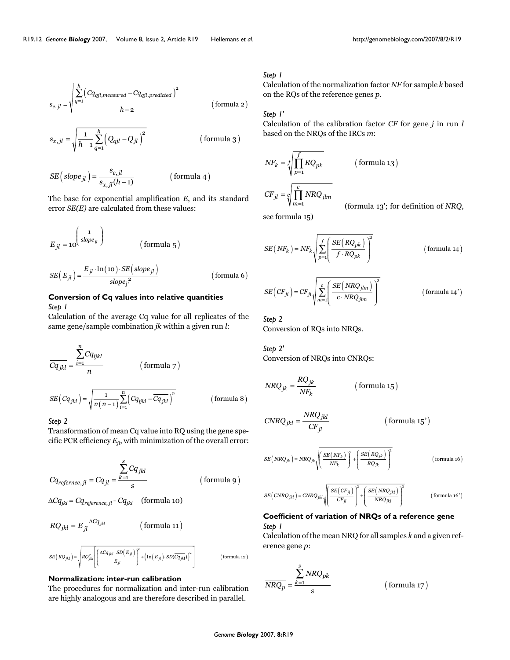$$
s_{e,jl} = \sqrt{\frac{\sum_{q=1}^{h} (Cq_{qjl,measured} - Cq_{qjl,predicted})^2}{h - 2}}
$$
 (formula 2)

$$
s_{x,jl} = \sqrt{\frac{1}{h-1} \sum_{q=1}^{h} \left( Q_{qjl} - \overline{Q_{jl}} \right)^2}
$$
 (formula 3)

$$
SE\left(slope_{jl}\right) = \frac{s_{e,jl}}{s_{x,jl}(h-1)}\tag{formula 4}
$$

The base for exponential amplification *E*, and its standard error *SE(E)* are calculated from these values:

$$
E_{jl} = 10^{\left(\frac{1}{slope_{jl}}\right)}
$$
 (formula 5)

$$
SE(E_{jl}) = \frac{E_{jl} \cdot \ln(\text{10}) \cdot SE\left(\text{slope}_{jl}\right)}{\text{slope}_{j}^{2}}
$$
 (formula 6)

# **Conversion of Cq values into relative quantities** *Step 1*

Calculation of the average Cq value for all replicates of the same gene/sample combination *jk* within a given run *l*:

$$
\overline{Cq}_{jkl} = \frac{\sum_{i=1}^{n} Cq_{ijkl}}{n} \qquad \text{(formula 7)}
$$
\n
$$
SE(Cq_{jkl}) = \sqrt{\frac{1}{n(n-1)} \sum_{i=1}^{n} (Cq_{ijkl} - \overline{Cq}_{jkl})^2} \qquad \text{(formula 8)}
$$

*Step 2*

Transformation of mean Cq value into RQ using the gene specific PCR efficiency  $E_{jl}$ , with minimization of the overall error:

$$
Cq_{reference,jl} = \overline{Cq_{jl}} = \frac{\sum_{k=1}^{s} Cq_{jkl}}{s}
$$
 (formula 9)

$$
\Delta C q_{jkl} = C q_{reference,jl} - C q_{jkl} \quad \text{(formula 10)}
$$

$$
RQ_{jkl} = E_{jl}^{\Delta Cq_{jkl}} \qquad \text{(formula 11)}
$$

$$
sE(RQ_{jkl}) = \sqrt{RQ_{jkl}^{2}\left[\left(\frac{\Delta Cq_{jkl} \cdot SD(E_{jl})}{E_{jl}}\right)^{2} + \left(\ln(E_{jl}) \cdot SD(\overline{Cq_{jkl}})\right)^{2}\right]}
$$
 (formula 12)

⎠

# **Normalization: inter-run calibration**

⎝

լ

The procedures for normalization and inter-run calibration are highly analogous and are therefore described in parallel.

# *Step 1*

Calculation of the normalization factor *NF* for sample *k* based on the RQs of the reference genes *p*.

#### *Step 1'*

Calculation of the calibration factor *CF* for gene *j* in run *l* based on the NRQs of the IRCs *m*:

$$
NF_k = f \sqrt{\prod_{p=1}^{f} RQ_{pk}}
$$
 (formula 13)  

$$
CF_{jl} = c \sqrt{\prod_{m=1}^{c} N RQ_{jlm}}
$$
 (formula 13'; for  
formula 13).

for definition of *NRQ*,

see formula 15)

$$
SE(NF_k) = NF_k \sqrt{\sum_{p=1}^{f} \left( \frac{SE(RQ_{pk})}{f \cdot RQ_{pk}} \right)^2}
$$
 (formula 14)

$$
SE(CF_{jl}) = CF_{jl} \sqrt{\sum_{m=1}^{c} \left( \frac{SE(NRQ_{jlm})}{c \cdot NRQ_{jlm}} \right)^2}
$$
 (formula 14')

*Step 2* Conversion of RQs into NRQs.

*Step 2'* Conversion of NRQs into CNRQs:

$$
N R Q_{jk} = \frac{R Q_{jk}}{N F_k}
$$
 (formula 15)

$$
CNRQ_{jkl} = \frac{NRQ_{jkl}}{CF_{jl}} \tag{formula 15'}
$$

$$
SE\left(NRQ_{jk}\right) = NRQ_{jk}\sqrt{\left(\frac{SE\left(NF_k\right)}{NF_k}\right)^2 + \left(\frac{SE\left(RQ_{jk}\right)}{RQ_{jk}}\right)^2}
$$
 (formula 16)

2

$$
SE\left(CNRQ_{jkl}\right) = CNRQ_{jkl}\sqrt{\left(\frac{SE\left(CF_{jl}\right)}{CF_{jl}}\right)^2 + \left(\frac{SE\left(NRQ_{jkl}\right)}{NRQ_{jkl}}\right)^2}
$$
 (formula 16')

# **Coefficient of variation of NRQs of a reference gene** *Step 1*

Calculation of the mean NRQ for all samples *k* and a given reference gene *p*:

$$
\frac{\sum_{k=1}^{s} N R Q_{pk}}{s}
$$
 (formula 17)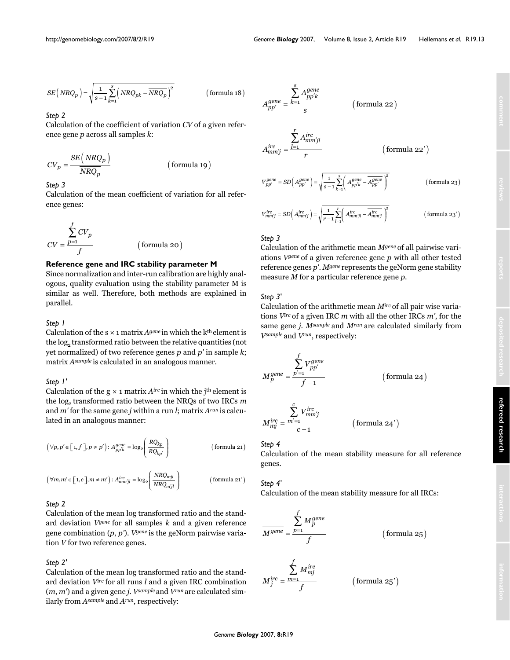$$
SE\left(NRQ_p\right) = \sqrt{\frac{1}{s-1}\sum_{k=1}^{s} \left(NRQ_{pk} - \overline{NRQ_p}\right)^2}
$$
 (formula 18)

*Step 2*

Calculation of the coefficient of variation *CV* of a given reference gene *p* across all samples *k*:

$$
CV_p = \frac{SE\left(NRQ_p\right)}{\overline{NRQ_p}}
$$
 (formula 19)

*Step 3*

Calculation of the mean coefficient of variation for all reference genes:

$$
\frac{\sum_{p=1}^{f}CV_p}{f}
$$
 (formula 20)

# **Reference gene and IRC stability parameter M**

Since normalization and inter-run calibration are highly analogous, quality evaluation using the stability parameter M is similar as well. Therefore, both methods are explained in parallel.

#### *Step 1*

Calculation of the  $s \times 1$  matrix  $A^{gene}$  in which the k<sup>th</sup> element is the log<sub>2</sub> transformed ratio between the relative quantities (not yet normalized) of two reference genes *p* and *p'* in sample *k*; matrix *Asample* is calculated in an analogous manner.

#### *Step 1'*

Calculation of the  $g \times 1$  matrix  $A^{irc}$  in which the j<sup>th</sup> element is the log<sub>2</sub> transformed ratio between the NRQs of two IRCs *m* and *m'* for the same gene *j* within a run *l*; matrix *Arun* is calculated in an analogous manner:

$$
(\forall p, p' \in [1, f], p \neq p') : A_{pp'k}^{gene} = \log_2 \left( \frac{RQ_{kp}}{RQ_{kp'}} \right)
$$
 (formula 21)

$$
\left(\forall m,m' \in \left[\!\!\left[1,c\right.\!\right],m\neq m'\right):A_{mm'jl}^{irc}=\log_2\!\!\left(\frac{N R Q_{mjl}}{N R Q_{m'jl}}\right) \qquad \qquad \text{(formula 21')}
$$

*Step 2*

Calculation of the mean log transformed ratio and the standard deviation *Vgene* for all samples *k* and a given reference gene combination (*p*, *p'*). *Vgene* is the geNorm pairwise variation *V* for two reference genes.

*Step 2'*

Calculation of the mean log transformed ratio and the standard deviation *Virc* for all runs *l* and a given IRC combination (*m*, *m'*) and a given gene *j*. *Vsample* and *Vrun* are calculated similarly from *Asample* and *Arun*, respectively:

$$
A_{pp'}^{gene} = \frac{\sum_{k=1}^{s} A_{pp'k}^{gene}}{s}
$$
 (formula 22)

*r*

$$
A_{mm'j}^{irc} = \frac{\sum_{l=1} A_{mm'jl}^{irc}}{r}
$$
 (formula 22')

$$
V_{pp'}^{gene} = SD\left(A_{pp'}^{gene}\right) = \sqrt{\frac{1}{s-1} \sum_{k=1}^{s} \left(A_{pp'k}^{gene} - \overline{A_{pp'}^{gene}}\right)^2}
$$
 (formula 23)

$$
V_{mm'j}^{irc} = SD\left(A_{mm'j}^{irc}\right) = \sqrt{\frac{1}{r-1} \sum_{l=1}^{r} \left(A_{mm'jl}^{irc} - \overline{A_{mm'j}^{irc}}\right)^2}
$$
 (formula 23')

# *Step 3*

*A*

Calculation of the arithmetic mean *Mgene* of all pairwise variations *Vgene* of a given reference gene *p* with all other tested reference genes *p'*. *Mgene* represents the geNorm gene stability measure *M* for a particular reference gene *p*.

### *Step 3'*

Calculation of the arithmetic mean *Mirc* of all pair wise variations *Virc* of a given IRC *m* with all the other IRCs *m'*, for the same gene *j*. *Msample* and *Mrun* are calculated similarly from *Vsample* and *Vrun*, respectively:

$$
M_p^{gene} = \frac{\sum_{p'=1}^{f} V_{pp'}^{gene}}{f-1}
$$
 (formula 24)

$$
M_{mj}^{irc} = \frac{\sum_{m'=1}^{c} V_{mm'j}^{irc}}{c-1}
$$
 (formula 24')

# *Step 4*

Calculation of the mean stability measure for all reference genes.

## *Step 4'*

*f*

Calculation of the mean stability measure for all IRCs:

$$
\frac{\int_{M} g_{\text{ene}}}{M} = \frac{\sum_{p=1}^{f} M_{p}^{\text{gene}}}{f}
$$
 (formula 25)

$$
\overline{M_j^{irc}} = \frac{\sum_{m=1}^{j} M_{mj}^{irc}}{f}
$$
 (formula 25')